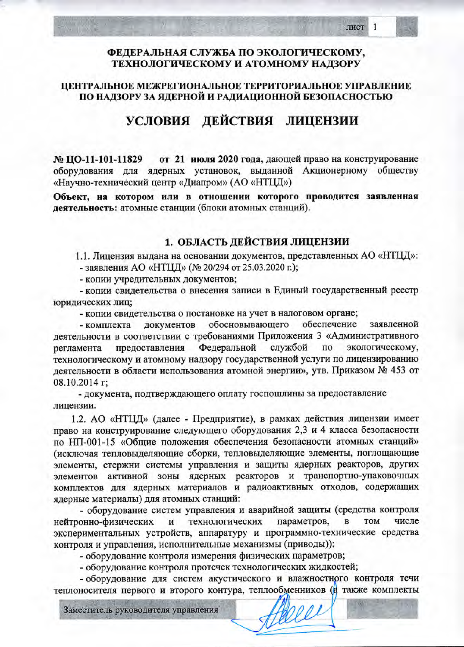$\mathbf{1}$ 

# ФЕДЕРАЛЬНАЯ СЛУЖБА ПО ЭКОЛОГИЧЕСКОМУ, ТЕХНОЛОГИЧЕСКОМУ И АТОМНОМУ НАДЗОРУ

# ЦЕНТРАЛЬНОЕ МЕЖРЕГИОНАЛЬНОЕ ТЕРРИТОРИАЛЬНОЕ УПРАВЛЕНИЕ ПО НАДЗОРУ ЗА ЯДЕРНОЙ И РАДИАЦИОННОЙ БЕЗОПАСНОСТЬЮ

# УСЛОВИЯ ДЕЙСТВИЯ ЛИЦЕНЗИИ

№ ЦО-11-101-11829 от 21 июля 2020 года, дающей право на конструирование оборудования для ядерных установок, выданной Акционерному обществу «Научно-технический центр «Диапром» (АО «НТЦД»)

Объект, на котором или в отношении которого проводится заявленная деятельность: атомные станции (блоки атомных станций).

### 1. ОБЛАСТЬ ДЕЙСТВИЯ ЛИЦЕНЗИИ

1.1. Лицензия выдана на основании документов, представленных АО «НТЦД»: - заявления АО «НТЦД» (№ 20/294 от 25.03.2020 г.);

- копии учредительных документов;

- копии свидетельства о внесения записи в Единый государственный реестр юридических лиц;

- копии свидетельства о постановке на учет в налоговом органе;

обосновывающего обеспечение заявленной - комплекта документов деятельности в соответствии с требованиями Приложения 3 «Административного службой предоставления Федеральной по экологическому, регламента технологическому и атомному надзору государственной услуги по лицензированию леятельности в области использования атомной энергии», утв. Приказом № 453 от 08.10.2014 г;

- документа, подтверждающего оплату госпошлины за предоставление лицензии.

1.2. AO «НТЦД» (далее - Предприятие), в рамках действия лицензии имеет право на конструирование следующего оборудования 2,3 и 4 класса безопасности по НП-001-15 «Общие положения обеспечения безопасности атомных станций» (исключая тепловыделяющие сборки, тепловыделяющие элементы, поглощающие элементы, стержни системы управления и защиты ядерных реакторов, других элементов активной зоны ядерных реакторов и транспортно-упаковочных комплектов для ядерных материалов и радиоактивных отходов, содержащих ядерные материалы) для атомных станций:

- оборудование систем управления и аварийной защиты (средства контроля нейтронно-физических технологических параметров, **TOM** числе  $\mathbf{M}$  $\mathbf{B}$ экспериментальных устройств, аппаратуру и программно-технические средства контроля и управления, исполнительные механизмы (приводы));

- оборудование контроля измерения физических параметров;

- оборудование контроля протечек технологических жидкостей;

- оборудование для систем акустического и влажностного контроля течи теплоносителя первого и второго контура, теплообменников (а также комплекты

Заместитель руководителя управления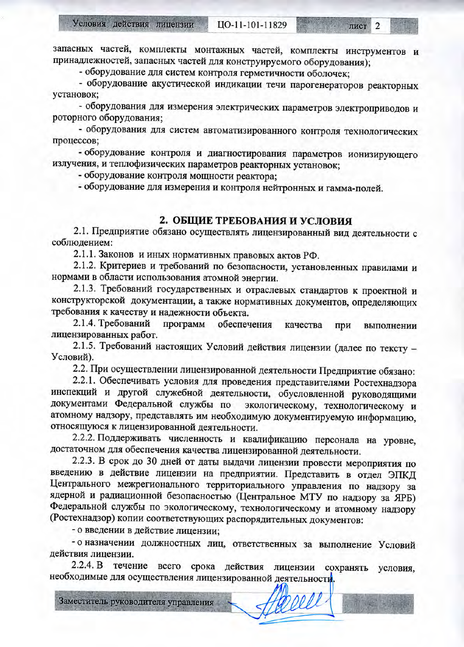Условия действия лицензии

лист

запасных частей, комплекты монтажных частей, комплекты инструментов и принадлежностей, запасных частей для конструируемого оборудования);

- оборудование для систем контроля герметичности оболочек;

- оборудование акустической индикации течи парогенераторов реакторных установок;

- оборудования для измерения электрических параметров электроприводов и роторного оборудования:

- оборудования для систем автоматизированного контроля технологических процессов;

- оборудование контроля и диагностирования параметров ионизирующего излучения, и теплофизических параметров реакторных установок;

- оборудование контроля мощности реактора;

- оборудование для измерения и контроля нейтронных и гамма-полей.

# 2. ОБЩИЕ ТРЕБОВАНИЯ И УСЛОВИЯ

2.1. Предприятие обязано осуществлять лицензированный вид деятельности с соблюдением:

2.1.1. Законов и иных нормативных правовых актов РФ.

2.1.2. Критериев и требований по безопасности, установленных правилами и нормами в области использования атомной энергии.

2.1.3. Требований государственных и отраслевых стандартов к проектной и конструкторской документации, а также нормативных документов, определяющих требования к качеству и надежности объекта.

2.1.4. Требований программ обеспечения качества при выполнении лицензированных работ.

2.1.5. Требований настоящих Условий действия лицензии (далее по тексту -Условий).

2.2. При осуществлении лицензированной деятельности Предприятие обязано:

2.2.1. Обеспечивать условия для проведения представителями Ростехнадзора инспекций и другой служебной деятельности, обусловленной руководящими документами Федеральной службы по экологическому, технологическому и атомному надзору, представлять им необходимую документируемую информацию, относящуюся к лицензированной деятельности.

2.2.2. Поддерживать численность и квалификацию персонала на уровне, достаточном для обеспечения качества лицензированной деятельности.

2.2.3. В срок до 30 дней от даты выдачи лицензии провести мероприятия по введению в действие лицензии на предприятии. Представить в отдел ЭПКД Центрального межрегионального территориального управления по надзору за ядерной и радиационной безопасностью (Центральное МТУ по надзору за ЯРБ) Федеральной службы по экологическому, технологическому и атомному надзору (Ростехнадзор) копии соответствующих распорядительных документов:

- о введении в действие лицензии;

- о назначении должностных лиц, ответственных за выполнение Условий действия лицензии.

2.2.4. В течение всего срока действия лицензии сохранять условия, необходимые для осуществления лицензированной деятельности.

10000

Заместитель руководителя управления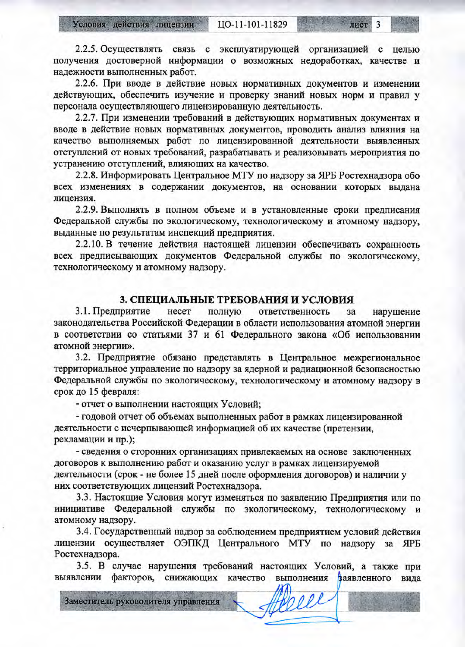лист

2.2.5. Осуществлять связь с эксплуатирующей организацией с целью получения достоверной информации о возможных недоработках, качестве и надежности выполненных работ.

2.2.6. При вводе в действие новых нормативных документов и изменении действующих, обеспечить изучение и проверку знаний новых норм и правил у персонала осуществляющего лицензированную деятельность.

2.2.7. При изменении требований в действующих нормативных документах и вводе в действие новых нормативных документов, проводить анализ влияния на качество выполняемых работ по лицензированной деятельности выявленных отступлений от новых требований, разрабатывать и реализовывать мероприятия по устранению отступлений, влияющих на качество.

2.2.8. Информировать Центральное МТУ по надзору за ЯРБ Ростехнадзора обо всех изменениях в содержании документов, на основании которых выдана лицензия.

2.2.9. Выполнять в полном объеме и в установленные сроки предписания Федеральной службы по экологическому, технологическому и атомному надзору, выданные по результатам инспекций предприятия.

2.2.10. В течение действия настоящей лицензии обеспечивать сохранность всех предписывающих документов Федеральной службы по экологическому, технологическому и атомному надзору.

#### 3. СПЕЦИАЛЬНЫЕ ТРЕБОВАНИЯ И УСЛОВИЯ

3.1. Предприятие несет полную ответственность  $3a$ нарушение законодательства Российской Федерации в области использования атомной энергии в соответствии со статьями 37 и 61 Федерального закона «Об использовании атомной энергии».

3.2. Предприятие обязано представлять в Центральное межрегиональное территориальное управление по надзору за ядерной и радиационной безопасностью Федеральной службы по экологическому, технологическому и атомному надзору в срок до 15 февраля:

- отчет о выполнении настоящих Условий;

- годовой отчет об объемах выполненных работ в рамках лицензированной деятельности с исчерпывающей информацией об их качестве (претензии, рекламации и пр.);

- сведения о сторонних организациях привлекаемых на основе заключенных договоров к выполнению работ и оказанию услуг в рамках лицензируемой деятельности (срок - не более 15 дней после оформления договоров) и наличии у них соответствующих лицензий Ростехнадзора.

3.3. Настоящие Условия могут изменяться по заявлению Предприятия или по инициативе Федеральной службы по экологическому, технологическому и атомному надзору.

3.4. Государственный надзор за соблюдением предприятием условий действия лицензии осуществляет ОЭПКД Центрального МТУ по надзору за ЯРБ Ростехнадзора.

3.5. В случае нарушения требований настоящих Условий, а также при выявлении факторов, снижающих качество выполнения ваявленного вида

Заместитель руководителя управления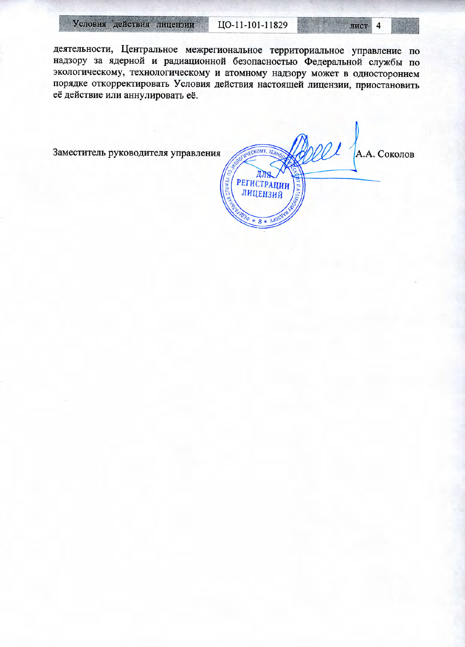### Условия действия лицензии

деятельности, Центральное межрегиональное территориальное управление по надзору за ядерной и радиационной безопасностью Федеральной службы по экологическому, технологическому и атомному надзору может в одностороннем порядке откорректировать Условия действия настоящей лицензии, приостановить её действие или аннулировать её.

Заместитель руководителя управления

FCKOMY. TEXH ДЛЯ РЕГИСТРАЦИИ ЛИЦЕНЗИЙ  $* 8 * 1$ 

А.А. Соколов

лист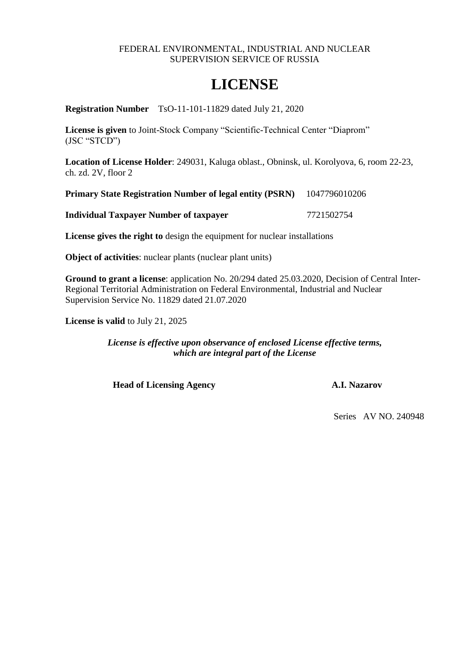### FEDERAL ENVIRONMENTAL, INDUSTRIAL AND NUCLEAR SUPERVISION SERVICE OF RUSSIA

# **LICENSE**

**Registration Number** TsO-11-101-11829 dated July 21, 2020

**License is given** to Joint-Stock Company "Scientific-Technical Center "Diaprom" (JSC "STCD")

**Location of License Holder**: 249031, Kaluga oblast., Obninsk, ul. Korolyova, 6, room 22-23, ch. zd. 2V, floor 2

**Primary State Registration Number of legal entity (PSRN)** 1047796010206

**Individual Taxpayer Number of taxpayer** 7721502754

**License gives the right to** design the equipment for nuclear installations

**Object of activities**: nuclear plants (nuclear plant units)

**Ground to grant a license**: application No. 20/294 dated 25.03.2020, Decision of Central Inter-Regional Territorial Administration on Federal Environmental, Industrial and Nuclear Supervision Service No. 11829 dated 21.07.2020

**License is valid** to July 21, 2025

*License is effective upon observance of enclosed License effective terms, which are integral part of the License*

**Head of Licensing Agency A.I. Nazarov**

Series AV NO. 240948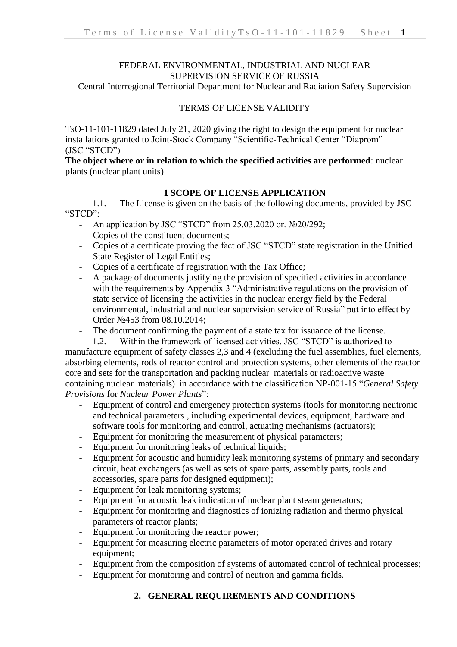# FEDERAL ENVIRONMENTAL, INDUSTRIAL AND NUCLEAR SUPERVISION SERVICE OF RUSSIA

Central Interregional Territorial Department for Nuclear and Radiation Safety Supervision

### TERMS OF LICENSE VALIDITY

TsO-11-101-11829 dated July 21, 2020 giving the right to design the equipment for nuclear installations granted to Joint-Stock Company "Scientific-Technical Center "Diaprom" (JSC "STCD")

### **The object where or in relation to which the specified activities are performed**: nuclear plants (nuclear plant units)

### **1 SCOPE OF LICENSE APPLICATION**

1.1. The License is given on the basis of the following documents, provided by JSC "STCD":

- An application by JSC "STCD" from 25.03.2020 or. №20/292;
- Copies of the constituent documents:
- Copies of a certificate proving the fact of JSC "STCD" state registration in the Unified State Register of Legal Entities;
- Copies of a certificate of registration with the Tax Office;
- A package of documents justifying the provision of specified activities in accordance with the requirements by Appendix 3 "Administrative regulations on the provision of state service of licensing the activities in the nuclear energy field by the Federal environmental, industrial and nuclear supervision service of Russia" put into effect by Order №453 from 08.10.2014;
- The document confirming the payment of a state tax for issuance of the license.

1.2. Within the framework of licensed activities, JSC "STCD" is authorized to manufacture equipment of safety classes 2,3 and 4 (excluding the fuel assemblies, fuel elements, absorbing elements, rods of reactor control and protection systems, other elements of the reactor core and sets for the transportation and packing nuclear materials or radioactive waste containing nuclear materials) in accordance with the classification NP-001-15 "*General Safety Provisions* for *Nuclear Power Plants*":

- Equipment of control and emergency protection systems (tools for monitoring neutronic and technical parameters , including experimental devices, equipment, hardware and software tools for monitoring and control, actuating mechanisms (actuators);
- Equipment for monitoring the measurement of physical parameters;
- Equipment for monitoring leaks of technical liquids;
- Equipment for acoustic and humidity leak monitoring systems of primary and secondary circuit, heat exchangers (as well as sets of spare parts, assembly parts, tools and accessories, spare parts for designed equipment);
- Equipment for leak monitoring systems;
- Equipment for acoustic leak indication of nuclear plant steam generators;
- Equipment for monitoring and diagnostics of ionizing radiation and thermo physical parameters of reactor plants;
- Equipment for monitoring the reactor power;
- Equipment for measuring electric parameters of motor operated drives and rotary equipment;
- Equipment from the composition of systems of automated control of technical processes;
- Equipment for monitoring and control of neutron and gamma fields.

# **2. GENERAL REQUIREMENTS AND CONDITIONS**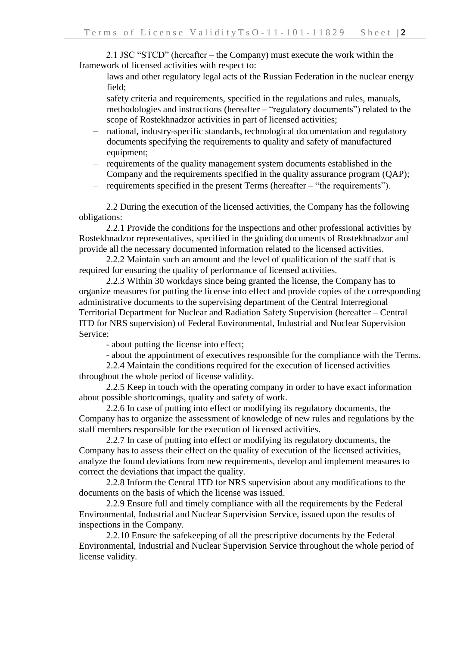2.1 JSC "STCD" (hereafter – the Company) must execute the work within the framework of licensed activities with respect to:

- laws and other regulatory legal acts of the Russian Federation in the nuclear energy field;
- safety criteria and requirements, specified in the regulations and rules, manuals, methodologies and instructions (hereafter – "regulatory documents") related to the scope of Rostekhnadzor activities in part of licensed activities;
- national, industry-specific standards, technological documentation and regulatory documents specifying the requirements to quality and safety of manufactured equipment;
- requirements of the quality management system documents established in the Company and the requirements specified in the quality assurance program (QAP);
- requirements specified in the present Terms (hereafter "the requirements").

2.2 During the execution of the licensed activities, the Company has the following obligations:

2.2.1 Provide the conditions for the inspections and other professional activities by Rostekhnadzor representatives, specified in the guiding documents of Rostekhnadzor and provide all the necessary documented information related to the licensed activities.

2.2.2 Maintain such an amount and the level of qualification of the staff that is required for ensuring the quality of performance of licensed activities.

2.2.3 Within 30 workdays since being granted the license, the Company has to organize measures for putting the license into effect and provide copies of the corresponding administrative documents to the supervising department of the Central Interregional Territorial Department for Nuclear and Radiation Safety Supervision (hereafter – Central ITD for NRS supervision) of Federal Environmental, Industrial and Nuclear Supervision Service:

- about putting the license into effect;

- about the appointment of executives responsible for the compliance with the Terms.

2.2.4 Maintain the conditions required for the execution of licensed activities throughout the whole period of license validity.

2.2.5 Keep in touch with the operating company in order to have exact information about possible shortcomings, quality and safety of work.

2.2.6 In case of putting into effect or modifying its regulatory documents, the Company has to organize the assessment of knowledge of new rules and regulations by the staff members responsible for the execution of licensed activities.

2.2.7 In case of putting into effect or modifying its regulatory documents, the Company has to assess their effect on the quality of execution of the licensed activities, analyze the found deviations from new requirements, develop and implement measures to correct the deviations that impact the quality.

2.2.8 Inform the Central ITD for NRS supervision about any modifications to the documents on the basis of which the license was issued.

2.2.9 Ensure full and timely compliance with all the requirements by the Federal Environmental, Industrial and Nuclear Supervision Service, issued upon the results of inspections in the Company.

2.2.10 Ensure the safekeeping of all the prescriptive documents by the Federal Environmental, Industrial and Nuclear Supervision Service throughout the whole period of license validity.